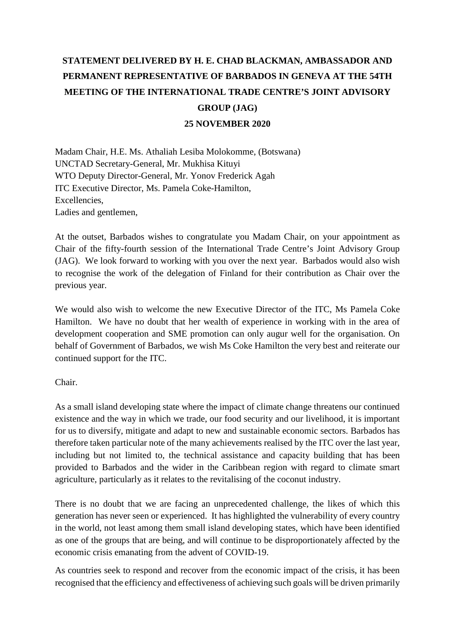## **STATEMENT DELIVERED BY H. E. CHAD BLACKMAN, AMBASSADOR AND PERMANENT REPRESENTATIVE OF BARBADOS IN GENEVA AT THE 54TH MEETING OF THE INTERNATIONAL TRADE CENTRE'S JOINT ADVISORY GROUP (JAG) 25 NOVEMBER 2020**

Madam Chair, H.E. Ms. Athaliah Lesiba Molokomme, (Botswana) UNCTAD Secretary-General, Mr. Mukhisa Kituyi WTO Deputy Director-General, Mr. Yonov Frederick Agah ITC Executive Director, Ms. Pamela Coke-Hamilton, Excellencies, Ladies and gentlemen,

At the outset, Barbados wishes to congratulate you Madam Chair, on your appointment as Chair of the fifty-fourth session of the International Trade Centre's Joint Advisory Group (JAG). We look forward to working with you over the next year. Barbados would also wish to recognise the work of the delegation of Finland for their contribution as Chair over the previous year.

We would also wish to welcome the new Executive Director of the ITC, Ms Pamela Coke Hamilton. We have no doubt that her wealth of experience in working with in the area of development cooperation and SME promotion can only augur well for the organisation. On behalf of Government of Barbados, we wish Ms Coke Hamilton the very best and reiterate our continued support for the ITC.

Chair.

As a small island developing state where the impact of climate change threatens our continued existence and the way in which we trade, our food security and our livelihood, it is important for us to diversify, mitigate and adapt to new and sustainable economic sectors. Barbados has therefore taken particular note of the many achievements realised by the ITC over the last year, including but not limited to, the technical assistance and capacity building that has been provided to Barbados and the wider in the Caribbean region with regard to climate smart agriculture, particularly as it relates to the revitalising of the coconut industry.

There is no doubt that we are facing an unprecedented challenge, the likes of which this generation has never seen or experienced. It has highlighted the vulnerability of every country in the world, not least among them small island developing states, which have been identified as one of the groups that are being, and will continue to be disproportionately affected by the economic crisis emanating from the advent of COVID-19.

As countries seek to respond and recover from the economic impact of the crisis, it has been recognised that the efficiency and effectiveness of achieving such goals will be driven primarily